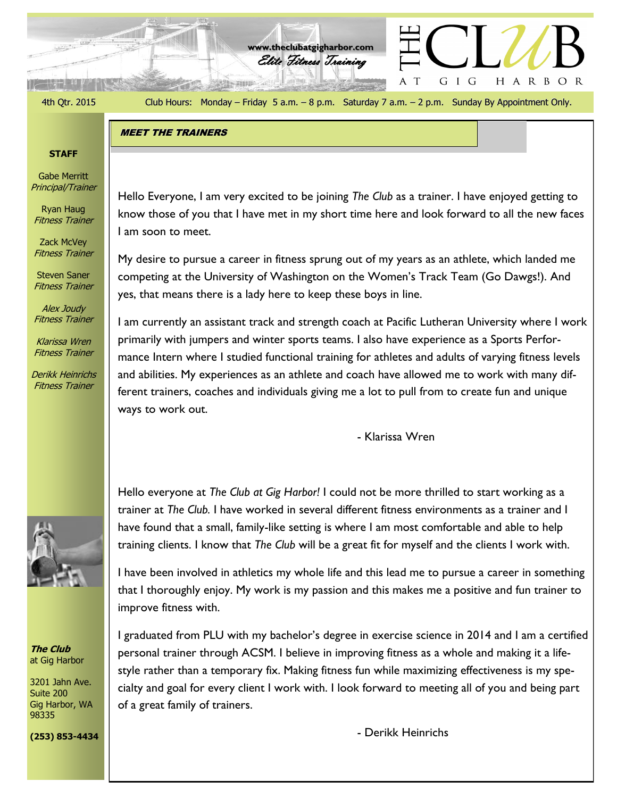4th Qtr. 2015 Club Hours: Monday – Friday 5 a.m. – 8 p.m. Saturday 7 a.m. – 2 p.m. Sunday By Appointment Only.

G I G

A T

HARBOR

Elite Fitness Training **www.theclubatgigharbor.com**

**ジョー 有用事の** 

### MEET THE TRAINERS

## **STAFF**

Gabe Merritt Principal/Trainer

Ryan Haug Fitness Trainer

Zack McVey Fitness Trainer

Steven Saner Fitness Trainer

Alex Joudy Fitness Trainer

Klarissa Wren Fitness Trainer

Derikk Heinrichs Fitness Trainer



My desire to pursue a career in fitness sprung out of my years as an athlete, which landed me competing at the University of Washington on the Women's Track Team (Go Dawgs!). And yes, that means there is a lady here to keep these boys in line.

I am currently an assistant track and strength coach at Pacific Lutheran University where I work primarily with jumpers and winter sports teams. I also have experience as a Sports Performance Intern where I studied functional training for athletes and adults of varying fitness levels and abilities. My experiences as an athlete and coach have allowed me to work with many different trainers, coaches and individuals giving me a lot to pull from to create fun and unique ways to work out.

- Klarissa Wren

Hello everyone at *The Club at Gig Harbor!* I could not be more thrilled to start working as a trainer at *The Club.* I have worked in several different fitness environments as a trainer and I have found that a small, family-like setting is where I am most comfortable and able to help training clients. I know that *The Club* will be a great fit for myself and the clients I work with.

I have been involved in athletics my whole life and this lead me to pursue a career in something that I thoroughly enjoy. My work is my passion and this makes me a positive and fun trainer to improve fitness with.

I graduated from PLU with my bachelor's degree in exercise science in 2014 and I am a certified personal trainer through ACSM. I believe in improving fitness as a whole and making it a lifestyle rather than a temporary fix. Making fitness fun while maximizing effectiveness is my specialty and goal for every client I work with. I look forward to meeting all of you and being part of a great family of trainers.

- Derikk Heinrichs



**The Club** at Gig Harbor

3201 Jahn Ave. Suite 200 Gig Harbor, WA 98335

**(253) 853-4434**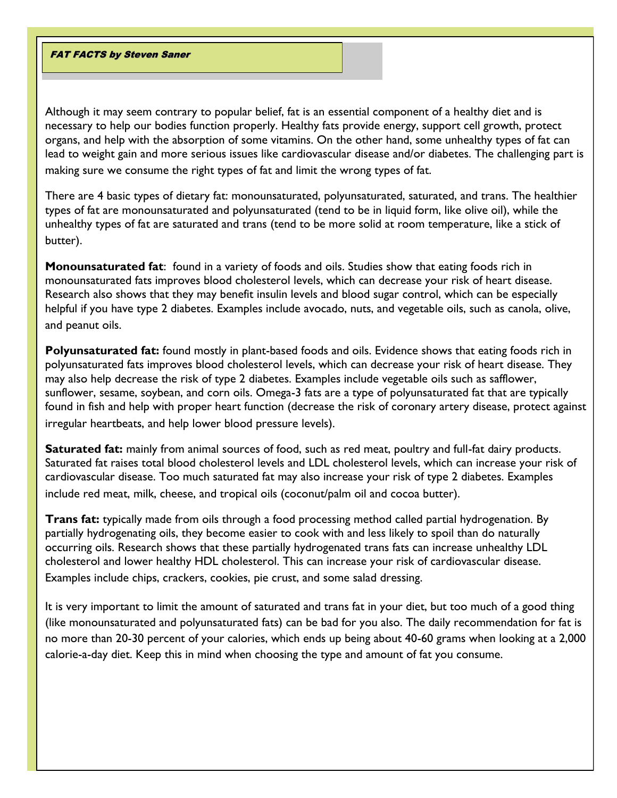FAT FACTS by Steven Saner

Although it may seem contrary to popular belief, fat is an essential component of a healthy diet and is necessary to help our bodies function properly. Healthy fats provide energy, support cell growth, protect organs, and help with the absorption of some vitamins. On the other hand, some unhealthy types of fat can lead to weight gain and more serious issues like cardiovascular disease and/or diabetes. The challenging part is making sure we consume the right types of fat and limit the wrong types of fat.

There are 4 basic types of dietary fat: monounsaturated, polyunsaturated, saturated, and trans. The healthier types of fat are monounsaturated and polyunsaturated (tend to be in liquid form, like olive oil), while the unhealthy types of fat are saturated and trans (tend to be more solid at room temperature, like a stick of butter).

**Monounsaturated fat**: found in a variety of foods and oils. Studies show that eating foods rich in monounsaturated fats improves blood cholesterol levels, which can decrease your risk of heart disease. Research also shows that they may benefit insulin levels and blood sugar control, which can be especially helpful if you have type 2 diabetes. Examples include avocado, nuts, and vegetable oils, such as canola, olive, and peanut oils.

**Polyunsaturated fat:** found mostly in plant-based foods and oils. Evidence shows that eating foods rich in polyunsaturated fats improves blood cholesterol levels, which can decrease your risk of heart disease. They may also help decrease the risk of type 2 diabetes. Examples include vegetable oils such as safflower, sunflower, sesame, soybean, and corn oils. Omega-3 fats are a type of polyunsaturated fat that are typically found in fish and help with proper heart function (decrease the risk of coronary artery disease, protect against irregular heartbeats, and help lower blood pressure levels).

**Saturated fat:** mainly from animal sources of food, such as red meat, poultry and full-fat dairy products. Saturated fat raises total blood cholesterol levels and LDL cholesterol levels, which can increase your risk of cardiovascular disease. Too much saturated fat may also increase your risk of type 2 diabetes. Examples include red meat, milk, cheese, and tropical oils (coconut/palm oil and cocoa butter).

**Trans fat:** typically made from oils through a food processing method called partial hydrogenation. By partially hydrogenating oils, they become easier to cook with and less likely to spoil than do naturally occurring oils. Research shows that these partially hydrogenated trans fats can increase unhealthy LDL cholesterol and lower healthy HDL cholesterol. This can increase your risk of cardiovascular disease. Examples include chips, crackers, cookies, pie crust, and some salad dressing.

It is very important to limit the amount of saturated and trans fat in your diet, but too much of a good thing (like monounsaturated and polyunsaturated fats) can be bad for you also. The daily recommendation for fat is no more than 20-30 percent of your calories, which ends up being about 40-60 grams when looking at a 2,000 calorie-a-day diet. Keep this in mind when choosing the type and amount of fat you consume.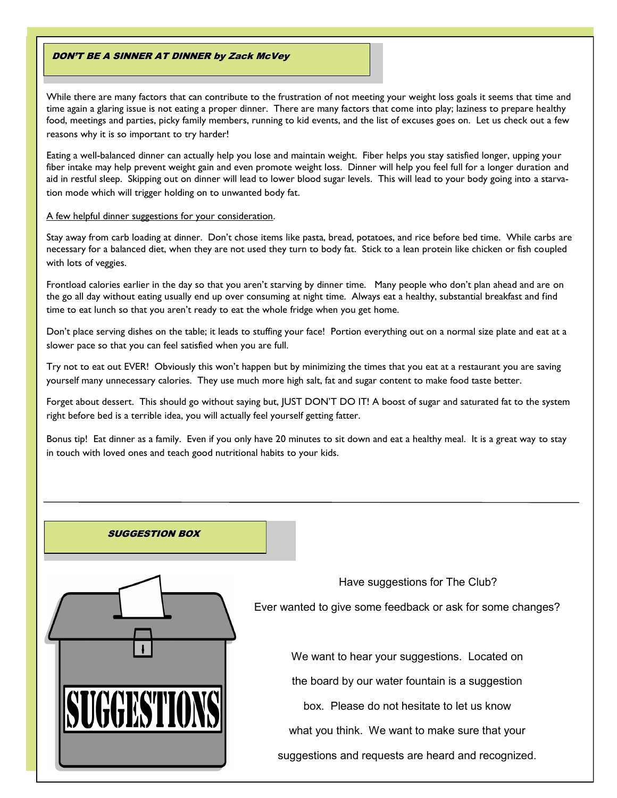### DON'T BE A SINNER AT DINNER by Zack McVey

While there are many factors that can contribute to the frustration of not meeting your weight loss goals it seems that time and time again a glaring issue is not eating a proper dinner. There are many factors that come into play; laziness to prepare healthy food, meetings and parties, picky family members, running to kid events, and the list of excuses goes on. Let us check out a few reasons why it is so important to try harder!

Eating a well-balanced dinner can actually help you lose and maintain weight. Fiber helps you stay satisfied longer, upping your fiber intake may help prevent weight gain and even promote weight loss. Dinner will help you feel full for a longer duration and aid in restful sleep. Skipping out on dinner will lead to lower blood sugar levels. This will lead to your body going into a starvation mode which will trigger holding on to unwanted body fat.

#### A few helpful dinner suggestions for your consideration.

Stay away from carb loading at dinner. Don't chose items like pasta, bread, potatoes, and rice before bed time. While carbs are necessary for a balanced diet, when they are not used they turn to body fat. Stick to a lean protein like chicken or fish coupled with lots of veggies.

Frontload calories earlier in the day so that you aren't starving by dinner time. Many people who don't plan ahead and are on the go all day without eating usually end up over consuming at night time. Always eat a healthy, substantial breakfast and find time to eat lunch so that you aren't ready to eat the whole fridge when you get home.

Don't place serving dishes on the table; it leads to stuffing your face! Portion everything out on a normal size plate and eat at a slower pace so that you can feel satisfied when you are full.

Try not to eat out EVER! Obviously this won't happen but by minimizing the times that you eat at a restaurant you are saving yourself many unnecessary calories. They use much more high salt, fat and sugar content to make food taste better.

Forget about dessert. This should go without saying but, JUST DON'T DO IT! A boost of sugar and saturated fat to the system right before bed is a terrible idea, you will actually feel yourself getting fatter.

Bonus tip! Eat dinner as a family. Even if you only have 20 minutes to sit down and eat a healthy meal. It is a great way to stay in touch with loved ones and teach good nutritional habits to your kids.

### SUGGESTION BOX



Ever wanted to give some feedback or ask for some changes?

Have suggestions for The Club?

We want to hear your suggestions. Located on

the board by our water fountain is a suggestion

box. Please do not hesitate to let us know

what you think. We want to make sure that your

suggestions and requests are heard and recognized.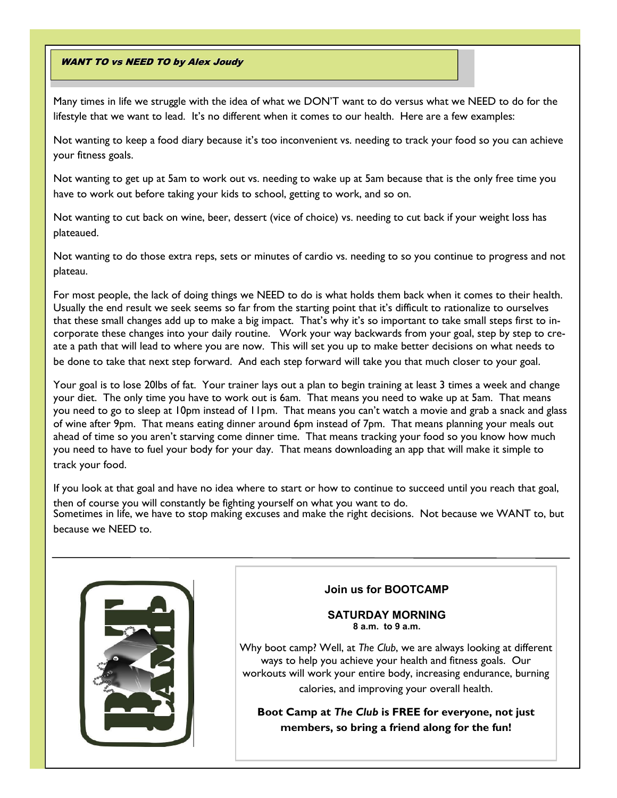### **WANT TO vs NEED TO by Alex Joudy**

Many times in life we struggle with the idea of what we DON'T want to do versus what we NEED to do for the lifestyle that we want to lead. It's no different when it comes to our health. Here are a few examples:

Not wanting to keep a food diary because it's too inconvenient vs. needing to track your food so you can achieve your fitness goals.

Not wanting to get up at 5am to work out vs. needing to wake up at 5am because that is the only free time you have to work out before taking your kids to school, getting to work, and so on.

Not wanting to cut back on wine, beer, dessert (vice of choice) vs. needing to cut back if your weight loss has plateaued.

Not wanting to do those extra reps, sets or minutes of cardio vs. needing to so you continue to progress and not plateau.

For most people, the lack of doing things we NEED to do is what holds them back when it comes to their health. Usually the end result we seek seems so far from the starting point that it's difficult to rationalize to ourselves that these small changes add up to make a big impact. That's why it's so important to take small steps first to incorporate these changes into your daily routine. Work your way backwards from your goal, step by step to create a path that will lead to where you are now. This will set you up to make better decisions on what needs to be done to take that next step forward. And each step forward will take you that much closer to your goal.

Your goal is to lose 20lbs of fat. Your trainer lays out a plan to begin training at least 3 times a week and change your diet. The only time you have to work out is 6am. That means you need to wake up at 5am. That means you need to go to sleep at 10pm instead of 11pm. That means you can't watch a movie and grab a snack and glass of wine after 9pm. That means eating dinner around 6pm instead of 7pm. That means planning your meals out ahead of time so you aren't starving come dinner time. That means tracking your food so you know how much you need to have to fuel your body for your day. That means downloading an app that will make it simple to track your food.

If you look at that goal and have no idea where to start or how to continue to succeed until you reach that goal, then of course you will constantly be fighting yourself on what you want to do. Sometimes in life, we have to stop making excuses and make the right decisions. Not because we WANT to, but because we NEED to.



## **Join us for BOOTCAMP**

### **SATURDAY MORNING 8 a.m. to 9 a.m.**

Why boot camp? Well, at *The Club*, we are always looking at different ways to help you achieve your health and fitness goals. Our workouts will work your entire body, increasing endurance, burning calories, and improving your overall health.

**Boot Camp at** *The Club* **is FREE for everyone, not just members, so bring a friend along for the fun!**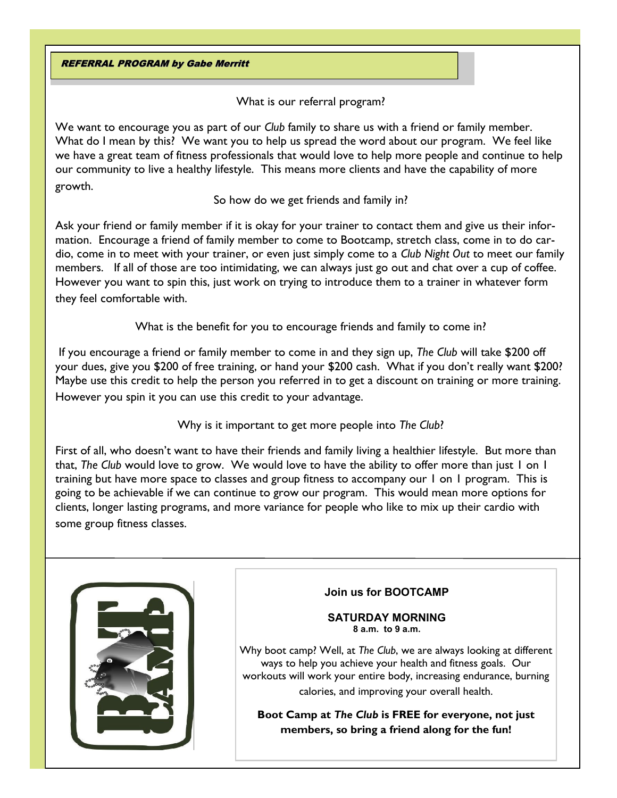REFERRAL PROGRAM by Gabe Merritt

What is our referral program?

We want to encourage you as part of our *Club* family to share us with a friend or family member. What do I mean by this? We want you to help us spread the word about our program. We feel like we have a great team of fitness professionals that would love to help more people and continue to help our community to live a healthy lifestyle. This means more clients and have the capability of more growth.

So how do we get friends and family in?

Ask your friend or family member if it is okay for your trainer to contact them and give us their information. Encourage a friend of family member to come to Bootcamp, stretch class, come in to do cardio, come in to meet with your trainer, or even just simply come to a *Club Night Out* to meet our family members. If all of those are too intimidating, we can always just go out and chat over a cup of coffee. However you want to spin this, just work on trying to introduce them to a trainer in whatever form they feel comfortable with.

What is the benefit for you to encourage friends and family to come in?

If you encourage a friend or family member to come in and they sign up, *The Club* will take \$200 off your dues, give you \$200 of free training, or hand your \$200 cash. What if you don't really want \$200? Maybe use this credit to help the person you referred in to get a discount on training or more training. However you spin it you can use this credit to your advantage.

Why is it important to get more people into *The Club*?

First of all, who doesn't want to have their friends and family living a healthier lifestyle. But more than that, *The Club* would love to grow. We would love to have the ability to offer more than just 1 on 1 training but have more space to classes and group fitness to accompany our 1 on 1 program. This is going to be achievable if we can continue to grow our program. This would mean more options for clients, longer lasting programs, and more variance for people who like to mix up their cardio with some group fitness classes.



# **Join us for BOOTCAMP**

## **SATURDAY MORNING 8 a.m. to 9 a.m.**

Why boot camp? Well, at *The Club*, we are always looking at different ways to help you achieve your health and fitness goals. Our workouts will work your entire body, increasing endurance, burning calories, and improving your overall health.

**Boot Camp at** *The Club* **is FREE for everyone, not just members, so bring a friend along for the fun!**